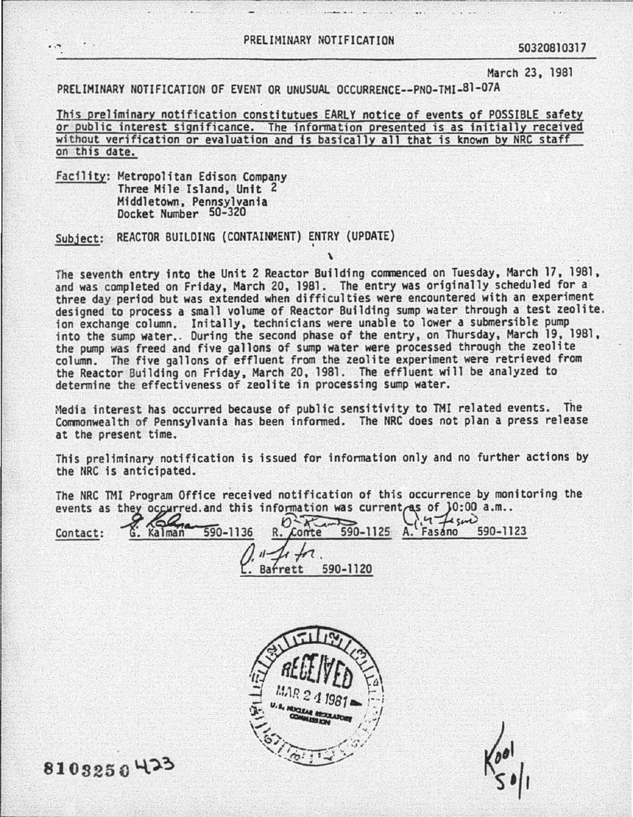## PRELIMINARY NOTIFICATION 50320810317

 $\sim$ 

March 23, 1981

PRELIMINARY NOTIFICATION OF EVENT OR UNUSUAL OCCURRENCE--PNO-TMI-81-07A

This preliminary notification constitutues EARLY notice of events of POSSIBLE safety or public interest significance. The information presented is as initially received without verification or evaluation and is basically all that is known by NRC staff on this date.

Facility: Metropolitan Edison Company Three Mile Island, Unit 2 Middletown, Pennsylvania Docket Humber 50-320

..---------------

Subject: REACTOR BUILDING (CONTAINMENT) ENTRY (UPDATE)

The seventh entry into the Unit 2 Reactor Building commenced on Tuesday, March 17, 1981, and was completed on Friday, March 20, 1981. The entry was originally scheduled for a<br>three day period but was extended when difficulties were encountered with an experiment designed to process a small volume of Reactor Building sump water through a test zeolite.<br>ion exchange column. Initally, technicians were unable to lower a submersible pump<br>into the sump water. During the second phase of t the pump was freed and five gallons of sump water were processed through the zeolite column. The five gallons of effluent from the zeolite experiment were retrieved from the Reactor Building on Friday, March 20, 1981. The effluent will be analyzed to determine the effectiveness of zeolite in processing sump water.

Media interest has occurred because of public sensitivity to TMI related events. The Commonwealth of Pennsylvania has been informed. The NRC does not plan a press release at the present time.

This preliminary notification is issued for information only and no further actions by the NRC is anticipated.

The NRC TMI Program Office received notification of this occurrence by monitoring the

events as they occurred and this information was current as of  $]0:00$  a.m..<br>Contact: 6. Kalman 590-1136 R. Conte 590-1125 A. Fasano 590-1123 **e R.** Conte 590-11<br> *C.* Barrett 590-1120



8103250423